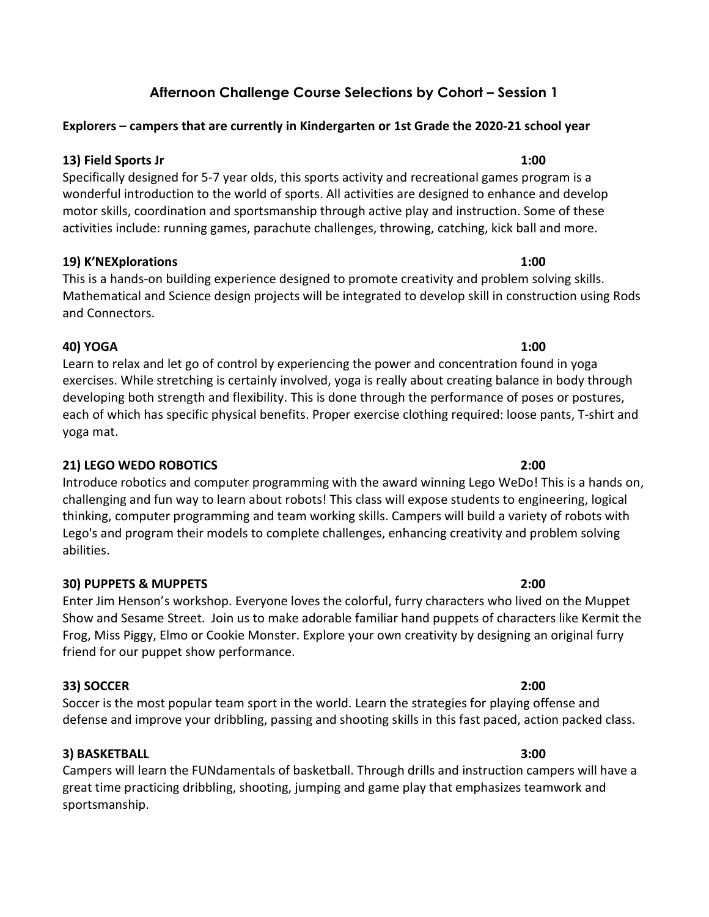# Afternoon Challenge Course Selections by Cohort – Session 1

## Explorers – campers that are currently in Kindergarten or 1st Grade the 2020-21 school year

## 13) Field Sports Jr 1:00

Specifically designed for 5-7 year olds, this sports activity and recreational games program is a wonderful introduction to the world of sports. All activities are designed to enhance and develop motor skills, coordination and sportsmanship through active play and instruction. Some of these activities include: running games, parachute challenges, throwing, catching, kick ball and more.

## 19) K'NEXplorations 1:00

# This is a hands-on building experience designed to promote creativity and problem solving skills. Mathematical and Science design projects will be integrated to develop skill in construction using Rods and Connectors.

# 40) YOGA 1:00

Learn to relax and let go of control by experiencing the power and concentration found in yoga exercises. While stretching is certainly involved, yoga is really about creating balance in body through developing both strength and flexibility. This is done through the performance of poses or postures, each of which has specific physical benefits. Proper exercise clothing required: loose pants, T-shirt and yoga mat.

# 21) LEGO WEDO ROBOTICS 2:00

Introduce robotics and computer programming with the award winning Lego WeDo! This is a hands on, challenging and fun way to learn about robots! This class will expose students to engineering, logical thinking, computer programming and team working skills. Campers will build a variety of robots with Lego's and program their models to complete challenges, enhancing creativity and problem solving abilities.

# 30) PUPPETS & MUPPETS 2:00

Enter Jim Henson's workshop. Everyone loves the colorful, furry characters who lived on the Muppet Show and Sesame Street. Join us to make adorable familiar hand puppets of characters like Kermit the Frog, Miss Piggy, Elmo or Cookie Monster. Explore your own creativity by designing an original furry friend for our puppet show performance.

# 33) SOCCER 2:00

Soccer is the most popular team sport in the world. Learn the strategies for playing offense and defense and improve your dribbling, passing and shooting skills in this fast paced, action packed class.

# 3) BASKETBALL 3:00

Campers will learn the FUNdamentals of basketball. Through drills and instruction campers will have a great time practicing dribbling, shooting, jumping and game play that emphasizes teamwork and sportsmanship.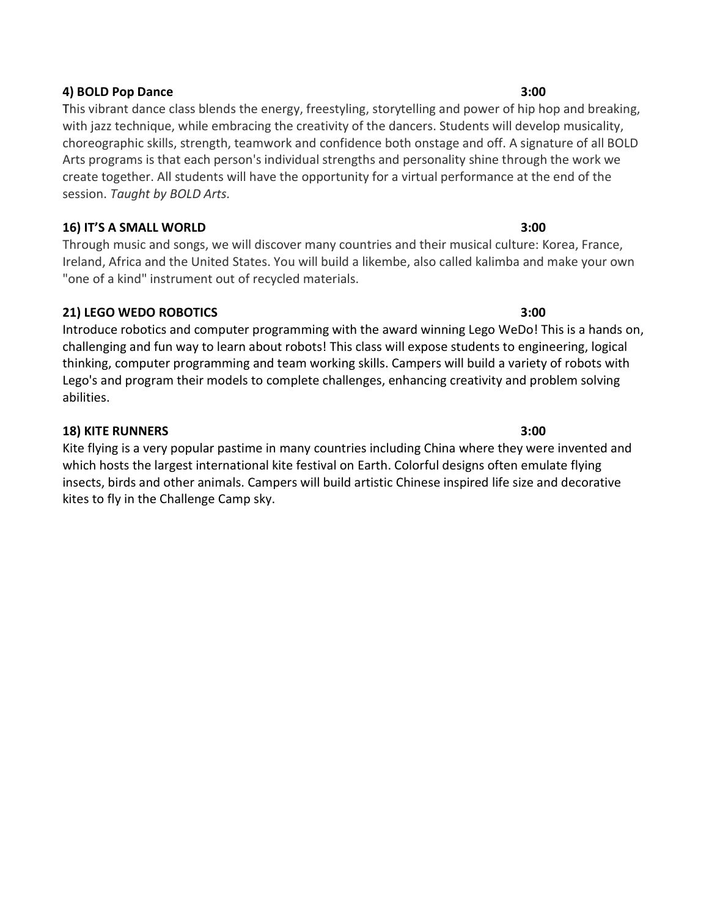### 4) BOLD Pop Dance 3:00

This vibrant dance class blends the energy, freestyling, storytelling and power of hip hop and breaking, with jazz technique, while embracing the creativity of the dancers. Students will develop musicality, choreographic skills, strength, teamwork and confidence both onstage and off. A signature of all BOLD Arts programs is that each person's individual strengths and personality shine through the work we create together. All students will have the opportunity for a virtual performance at the end of the session. Taught by BOLD Arts.

## 16) IT'S A SMALL WORLD 3:00

Through music and songs, we will discover many countries and their musical culture: Korea, France, Ireland, Africa and the United States. You will build a likembe, also called kalimba and make your own "one of a kind" instrument out of recycled materials.

# 21) LEGO WEDO ROBOTICS 3:00

Introduce robotics and computer programming with the award winning Lego WeDo! This is a hands on, challenging and fun way to learn about robots! This class will expose students to engineering, logical thinking, computer programming and team working skills. Campers will build a variety of robots with Lego's and program their models to complete challenges, enhancing creativity and problem solving abilities.

## 18) KITE RUNNERS 3:00

Kite flying is a very popular pastime in many countries including China where they were invented and which hosts the largest international kite festival on Earth. Colorful designs often emulate flying insects, birds and other animals. Campers will build artistic Chinese inspired life size and decorative kites to fly in the Challenge Camp sky.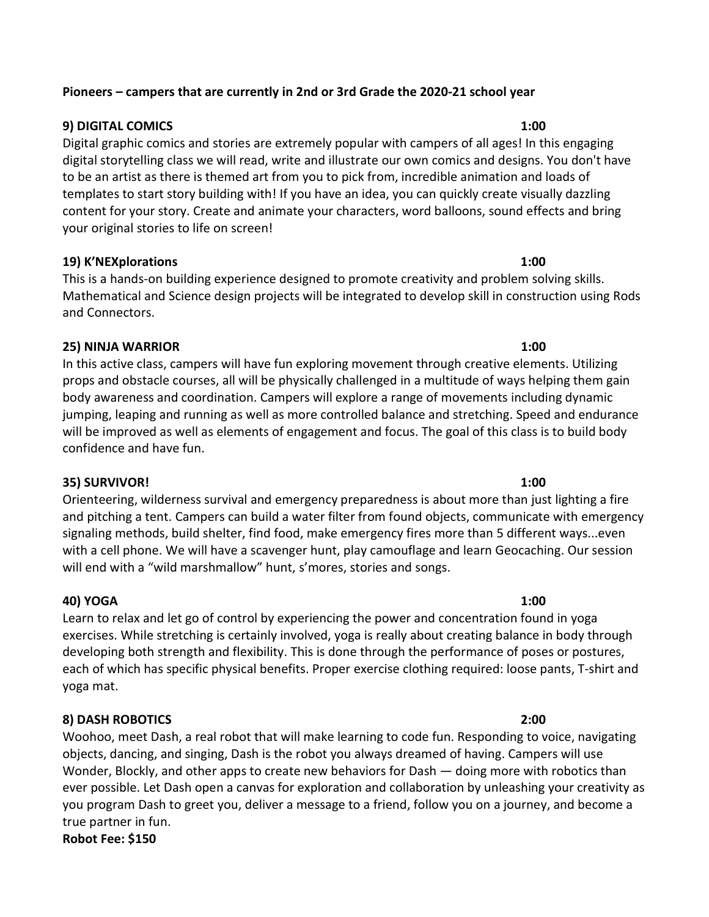## Pioneers – campers that are currently in 2nd or 3rd Grade the 2020-21 school year

## 9) DIGITAL COMICS 1:00

Digital graphic comics and stories are extremely popular with campers of all ages! In this engaging digital storytelling class we will read, write and illustrate our own comics and designs. You don't have to be an artist as there is themed art from you to pick from, incredible animation and loads of templates to start story building with! If you have an idea, you can quickly create visually dazzling content for your story. Create and animate your characters, word balloons, sound effects and bring your original stories to life on screen!

### 19) K'NEXplorations 1:00

This is a hands-on building experience designed to promote creativity and problem solving skills. Mathematical and Science design projects will be integrated to develop skill in construction using Rods and Connectors.

## 25) NINJA WARRIOR 1:00

In this active class, campers will have fun exploring movement through creative elements. Utilizing props and obstacle courses, all will be physically challenged in a multitude of ways helping them gain body awareness and coordination. Campers will explore a range of movements including dynamic jumping, leaping and running as well as more controlled balance and stretching. Speed and endurance will be improved as well as elements of engagement and focus. The goal of this class is to build body confidence and have fun.

### 35) SURVIVOR! 1:00

Orienteering, wilderness survival and emergency preparedness is about more than just lighting a fire and pitching a tent. Campers can build a water filter from found objects, communicate with emergency signaling methods, build shelter, find food, make emergency fires more than 5 different ways...even with a cell phone. We will have a scavenger hunt, play camouflage and learn Geocaching. Our session will end with a "wild marshmallow" hunt, s'mores, stories and songs.

# 40) YOGA 1:00

Learn to relax and let go of control by experiencing the power and concentration found in yoga exercises. While stretching is certainly involved, yoga is really about creating balance in body through developing both strength and flexibility. This is done through the performance of poses or postures, each of which has specific physical benefits. Proper exercise clothing required: loose pants, T-shirt and yoga mat.

# 8) DASH ROBOTICS 2:00

Woohoo, meet Dash, a real robot that will make learning to code fun. Responding to voice, navigating objects, dancing, and singing, Dash is the robot you always dreamed of having. Campers will use Wonder, Blockly, and other apps to create new behaviors for Dash — doing more with robotics than ever possible. Let Dash open a canvas for exploration and collaboration by unleashing your creativity as you program Dash to greet you, deliver a message to a friend, follow you on a journey, and become a true partner in fun. Robot Fee: \$150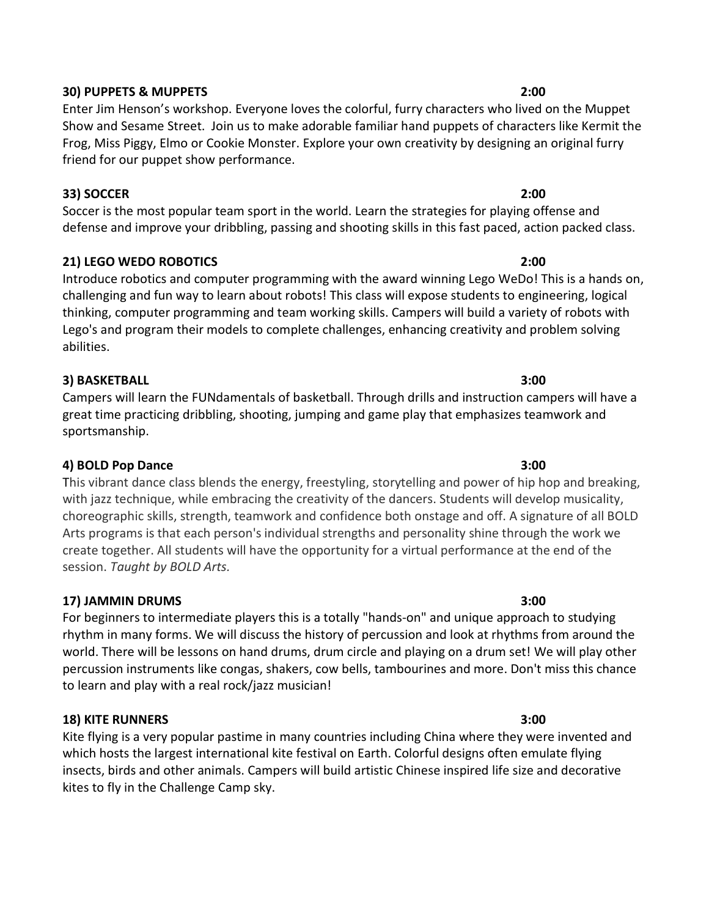### 30) PUPPETS & MUPPETS 2:00

Enter Jim Henson's workshop. Everyone loves the colorful, furry characters who lived on the Muppet Show and Sesame Street. Join us to make adorable familiar hand puppets of characters like Kermit the Frog, Miss Piggy, Elmo or Cookie Monster. Explore your own creativity by designing an original furry friend for our puppet show performance.

## 33) SOCCER 2:00

Soccer is the most popular team sport in the world. Learn the strategies for playing offense and defense and improve your dribbling, passing and shooting skills in this fast paced, action packed class.

# 21) LEGO WEDO ROBOTICS 2:00

Introduce robotics and computer programming with the award winning Lego WeDo! This is a hands on, challenging and fun way to learn about robots! This class will expose students to engineering, logical thinking, computer programming and team working skills. Campers will build a variety of robots with Lego's and program their models to complete challenges, enhancing creativity and problem solving abilities.

## 3) BASKETBALL 3:00

Campers will learn the FUNdamentals of basketball. Through drills and instruction campers will have a great time practicing dribbling, shooting, jumping and game play that emphasizes teamwork and sportsmanship.

### 4) BOLD Pop Dance 3:00

This vibrant dance class blends the energy, freestyling, storytelling and power of hip hop and breaking, with jazz technique, while embracing the creativity of the dancers. Students will develop musicality, choreographic skills, strength, teamwork and confidence both onstage and off. A signature of all BOLD Arts programs is that each person's individual strengths and personality shine through the work we create together. All students will have the opportunity for a virtual performance at the end of the session. Taught by BOLD Arts.

# 17) JAMMIN DRUMS 3:00

For beginners to intermediate players this is a totally "hands-on" and unique approach to studying rhythm in many forms. We will discuss the history of percussion and look at rhythms from around the world. There will be lessons on hand drums, drum circle and playing on a drum set! We will play other percussion instruments like congas, shakers, cow bells, tambourines and more. Don't miss this chance to learn and play with a real rock/jazz musician!

### 18) KITE RUNNERS 3:00

Kite flying is a very popular pastime in many countries including China where they were invented and which hosts the largest international kite festival on Earth. Colorful designs often emulate flying insects, birds and other animals. Campers will build artistic Chinese inspired life size and decorative kites to fly in the Challenge Camp sky.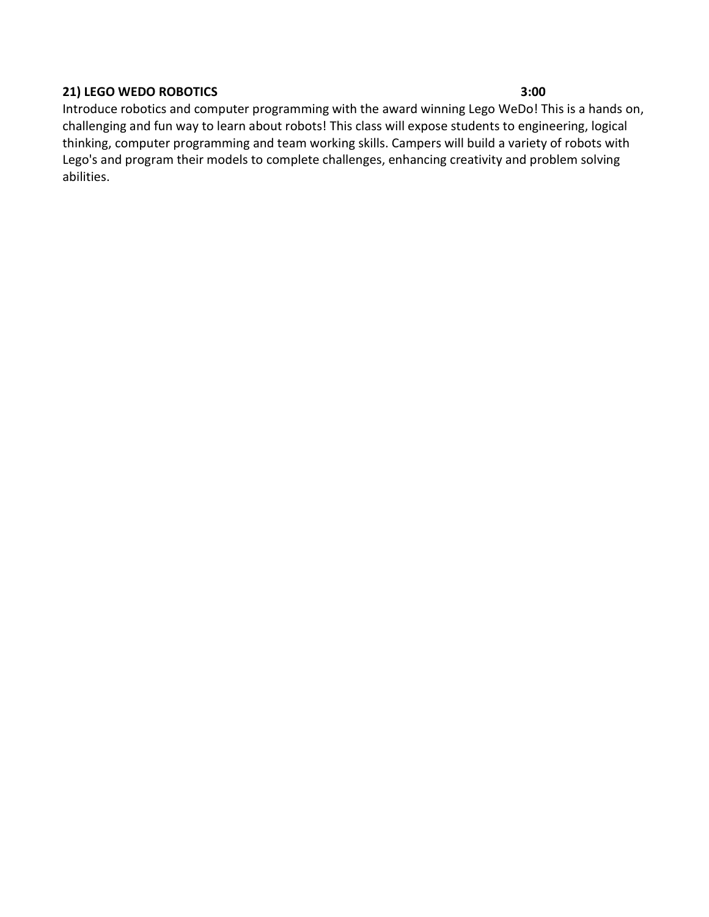# 21) LEGO WEDO ROBOTICS 3:00

Introduce robotics and computer programming with the award winning Lego WeDo! This is a hands on, challenging and fun way to learn about robots! This class will expose students to engineering, logical thinking, computer programming and team working skills. Campers will build a variety of robots with Lego's and program their models to complete challenges, enhancing creativity and problem solving abilities.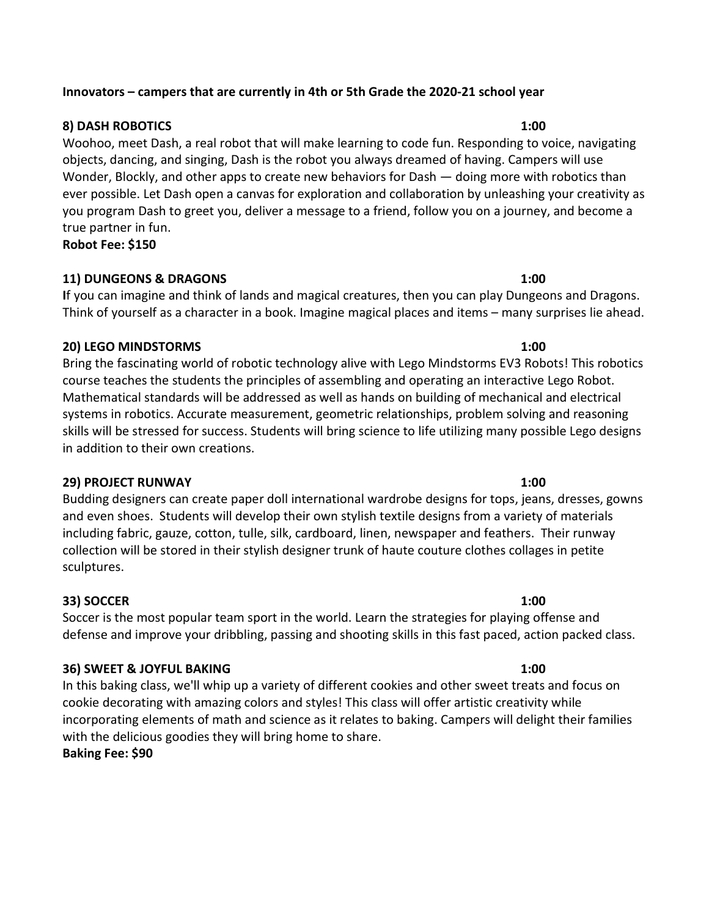### Innovators – campers that are currently in 4th or 5th Grade the 2020-21 school year

### 8) DASH ROBOTICS 1:00

Woohoo, meet Dash, a real robot that will make learning to code fun. Responding to voice, navigating objects, dancing, and singing, Dash is the robot you always dreamed of having. Campers will use Wonder, Blockly, and other apps to create new behaviors for Dash — doing more with robotics than ever possible. Let Dash open a canvas for exploration and collaboration by unleashing your creativity as you program Dash to greet you, deliver a message to a friend, follow you on a journey, and become a true partner in fun.

Robot Fee: \$150

### 11) DUNGEONS & DRAGONS 1:00

If you can imagine and think of lands and magical creatures, then you can play Dungeons and Dragons. Think of yourself as a character in a book. Imagine magical places and items – many surprises lie ahead.

### 20) LEGO MINDSTORMS 1:00

Bring the fascinating world of robotic technology alive with Lego Mindstorms EV3 Robots! This robotics course teaches the students the principles of assembling and operating an interactive Lego Robot. Mathematical standards will be addressed as well as hands on building of mechanical and electrical systems in robotics. Accurate measurement, geometric relationships, problem solving and reasoning skills will be stressed for success. Students will bring science to life utilizing many possible Lego designs in addition to their own creations.

## 29) PROJECT RUNWAY 1:00

Budding designers can create paper doll international wardrobe designs for tops, jeans, dresses, gowns and even shoes. Students will develop their own stylish textile designs from a variety of materials including fabric, gauze, cotton, tulle, silk, cardboard, linen, newspaper and feathers. Their runway collection will be stored in their stylish designer trunk of haute couture clothes collages in petite sculptures.

### 33) SOCCER 1:00

Soccer is the most popular team sport in the world. Learn the strategies for playing offense and defense and improve your dribbling, passing and shooting skills in this fast paced, action packed class.

### 36) SWEET & JOYFUL BAKING 1:00

In this baking class, we'll whip up a variety of different cookies and other sweet treats and focus on cookie decorating with amazing colors and styles! This class will offer artistic creativity while incorporating elements of math and science as it relates to baking. Campers will delight their families with the delicious goodies they will bring home to share.

### Baking Fee: \$90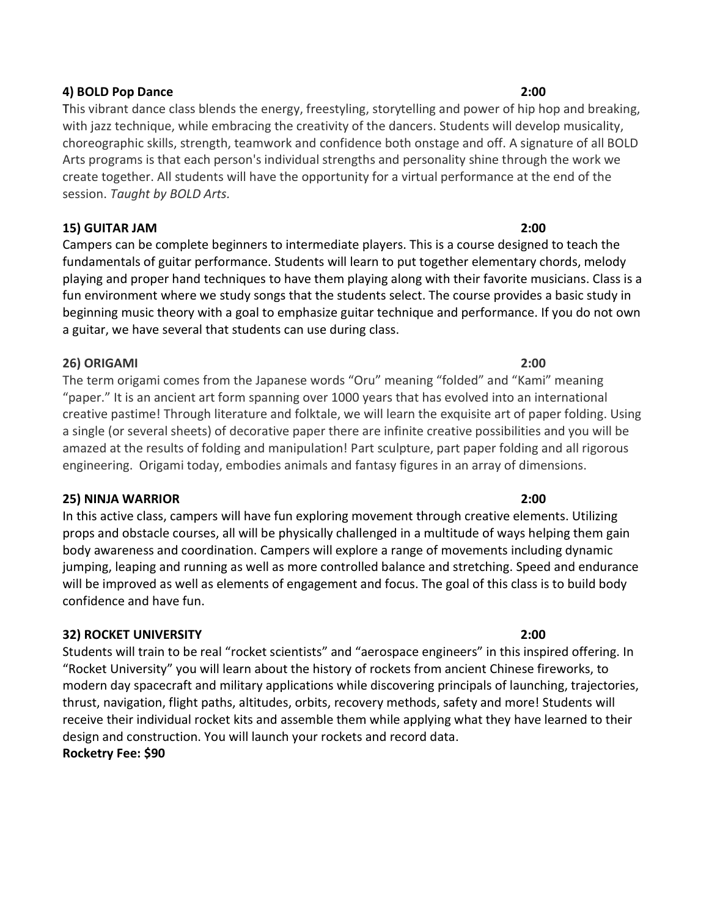### 4) BOLD Pop Dance 2:00

This vibrant dance class blends the energy, freestyling, storytelling and power of hip hop and breaking, with jazz technique, while embracing the creativity of the dancers. Students will develop musicality, choreographic skills, strength, teamwork and confidence both onstage and off. A signature of all BOLD Arts programs is that each person's individual strengths and personality shine through the work we create together. All students will have the opportunity for a virtual performance at the end of the session. Taught by BOLD Arts.

## 15) GUITAR JAM 2:00

Campers can be complete beginners to intermediate players. This is a course designed to teach the fundamentals of guitar performance. Students will learn to put together elementary chords, melody playing and proper hand techniques to have them playing along with their favorite musicians. Class is a fun environment where we study songs that the students select. The course provides a basic study in beginning music theory with a goal to emphasize guitar technique and performance. If you do not own a guitar, we have several that students can use during class.

## 26) ORIGAMI 2:00

The term origami comes from the Japanese words "Oru" meaning "folded" and "Kami" meaning "paper." It is an ancient art form spanning over 1000 years that has evolved into an international creative pastime! Through literature and folktale, we will learn the exquisite art of paper folding. Using a single (or several sheets) of decorative paper there are infinite creative possibilities and you will be amazed at the results of folding and manipulation! Part sculpture, part paper folding and all rigorous engineering. Origami today, embodies animals and fantasy figures in an array of dimensions.

### 25) NINJA WARRIOR 2:00

In this active class, campers will have fun exploring movement through creative elements. Utilizing props and obstacle courses, all will be physically challenged in a multitude of ways helping them gain body awareness and coordination. Campers will explore a range of movements including dynamic jumping, leaping and running as well as more controlled balance and stretching. Speed and endurance will be improved as well as elements of engagement and focus. The goal of this class is to build body confidence and have fun.

# 32) ROCKET UNIVERSITY 2:00

Students will train to be real "rocket scientists" and "aerospace engineers" in this inspired offering. In "Rocket University" you will learn about the history of rockets from ancient Chinese fireworks, to modern day spacecraft and military applications while discovering principals of launching, trajectories, thrust, navigation, flight paths, altitudes, orbits, recovery methods, safety and more! Students will receive their individual rocket kits and assemble them while applying what they have learned to their design and construction. You will launch your rockets and record data.

### Rocketry Fee: \$90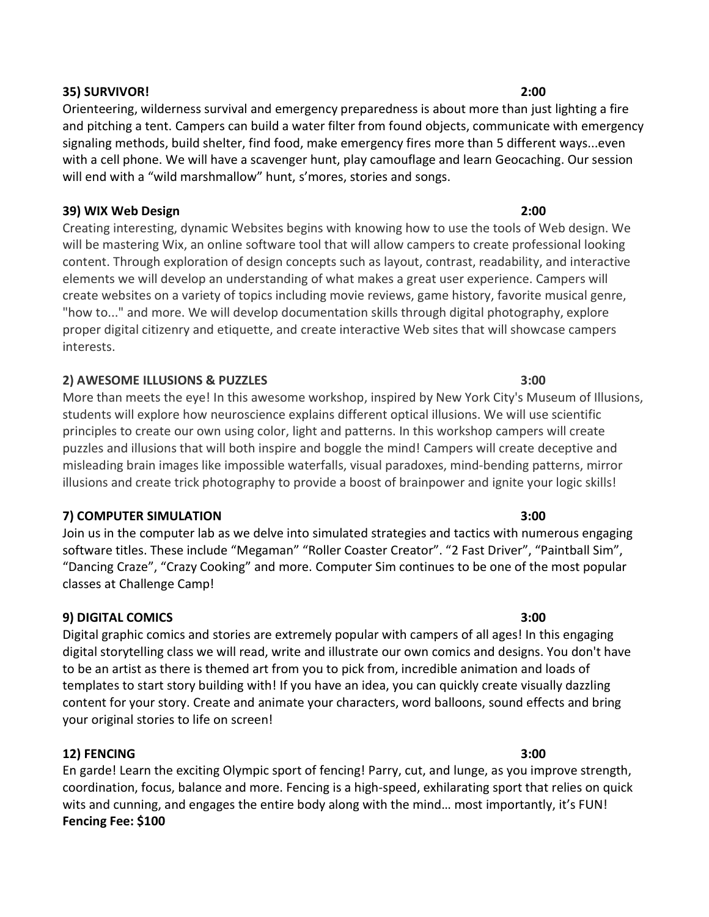Orienteering, wilderness survival and emergency preparedness is about more than just lighting a fire and pitching a tent. Campers can build a water filter from found objects, communicate with emergency signaling methods, build shelter, find food, make emergency fires more than 5 different ways...even with a cell phone. We will have a scavenger hunt, play camouflage and learn Geocaching. Our session will end with a "wild marshmallow" hunt, s'mores, stories and songs.

## 39) WIX Web Design 2:00

Creating interesting, dynamic Websites begins with knowing how to use the tools of Web design. We will be mastering Wix, an online software tool that will allow campers to create professional looking content. Through exploration of design concepts such as layout, contrast, readability, and interactive elements we will develop an understanding of what makes a great user experience. Campers will create websites on a variety of topics including movie reviews, game history, favorite musical genre, "how to..." and more. We will develop documentation skills through digital photography, explore proper digital citizenry and etiquette, and create interactive Web sites that will showcase campers interests.

# 2) AWESOME ILLUSIONS & PUZZLES 3:00

More than meets the eye! In this awesome workshop, inspired by New York City's Museum of Illusions, students will explore how neuroscience explains different optical illusions. We will use scientific principles to create our own using color, light and patterns. In this workshop campers will create puzzles and illusions that will both inspire and boggle the mind! Campers will create deceptive and misleading brain images like impossible waterfalls, visual paradoxes, mind-bending patterns, mirror illusions and create trick photography to provide a boost of brainpower and ignite your logic skills!

# 7) COMPUTER SIMULATION 3:00

Join us in the computer lab as we delve into simulated strategies and tactics with numerous engaging software titles. These include "Megaman" "Roller Coaster Creator". "2 Fast Driver", "Paintball Sim", "Dancing Craze", "Crazy Cooking" and more. Computer Sim continues to be one of the most popular classes at Challenge Camp!

# 9) DIGITAL COMICS 3:00

Digital graphic comics and stories are extremely popular with campers of all ages! In this engaging digital storytelling class we will read, write and illustrate our own comics and designs. You don't have to be an artist as there is themed art from you to pick from, incredible animation and loads of templates to start story building with! If you have an idea, you can quickly create visually dazzling content for your story. Create and animate your characters, word balloons, sound effects and bring your original stories to life on screen!

# 12) FENCING 3:00

En garde! Learn the exciting Olympic sport of fencing! Parry, cut, and lunge, as you improve strength, coordination, focus, balance and more. Fencing is a high-speed, exhilarating sport that relies on quick wits and cunning, and engages the entire body along with the mind… most importantly, it's FUN! Fencing Fee: \$100

# 35) SURVIVOR! 2:00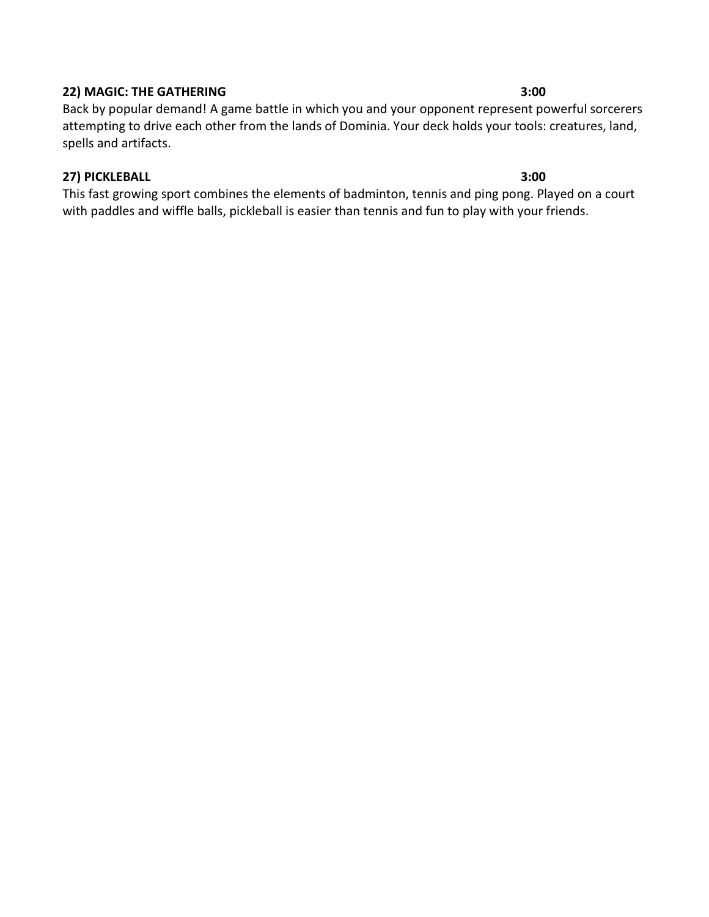### 22) MAGIC: THE GATHERING 3:00

Back by popular demand! A game battle in which you and your opponent represent powerful sorcerers attempting to drive each other from the lands of Dominia. Your deck holds your tools: creatures, land, spells and artifacts.

## 27) PICKLEBALL 3:00

This fast growing sport combines the elements of badminton, tennis and ping pong. Played on a court with paddles and wiffle balls, pickleball is easier than tennis and fun to play with your friends.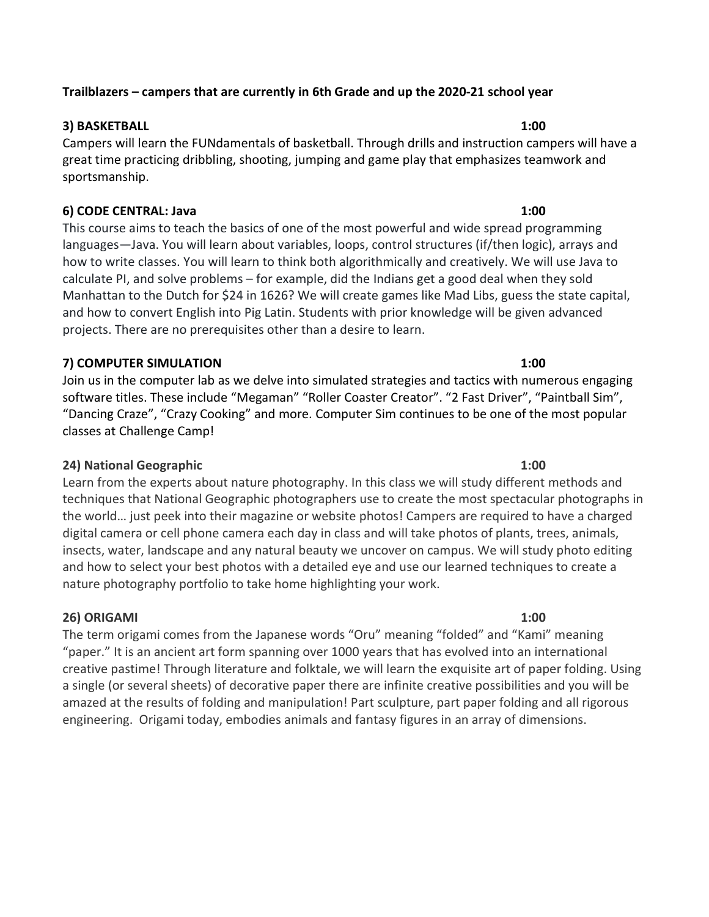# Trailblazers – campers that are currently in 6th Grade and up the 2020-21 school year

# 3) BASKETBALL 1:00

Campers will learn the FUNdamentals of basketball. Through drills and instruction campers will have a great time practicing dribbling, shooting, jumping and game play that emphasizes teamwork and sportsmanship.

# 6) CODE CENTRAL: Java 1:00

This course aims to teach the basics of one of the most powerful and wide spread programming languages—Java. You will learn about variables, loops, control structures (if/then logic), arrays and how to write classes. You will learn to think both algorithmically and creatively. We will use Java to calculate PI, and solve problems – for example, did the Indians get a good deal when they sold Manhattan to the Dutch for \$24 in 1626? We will create games like Mad Libs, guess the state capital, and how to convert English into Pig Latin. Students with prior knowledge will be given advanced projects. There are no prerequisites other than a desire to learn.

# 7) COMPUTER SIMULATION 1:00

Join us in the computer lab as we delve into simulated strategies and tactics with numerous engaging software titles. These include "Megaman" "Roller Coaster Creator". "2 Fast Driver", "Paintball Sim", "Dancing Craze", "Crazy Cooking" and more. Computer Sim continues to be one of the most popular classes at Challenge Camp!

# 24) National Geographic 1:00

Learn from the experts about nature photography. In this class we will study different methods and techniques that National Geographic photographers use to create the most spectacular photographs in the world… just peek into their magazine or website photos! Campers are required to have a charged digital camera or cell phone camera each day in class and will take photos of plants, trees, animals, insects, water, landscape and any natural beauty we uncover on campus. We will study photo editing and how to select your best photos with a detailed eye and use our learned techniques to create a nature photography portfolio to take home highlighting your work.

# 26) ORIGAMI 1:00

The term origami comes from the Japanese words "Oru" meaning "folded" and "Kami" meaning "paper." It is an ancient art form spanning over 1000 years that has evolved into an international creative pastime! Through literature and folktale, we will learn the exquisite art of paper folding. Using a single (or several sheets) of decorative paper there are infinite creative possibilities and you will be amazed at the results of folding and manipulation! Part sculpture, part paper folding and all rigorous engineering. Origami today, embodies animals and fantasy figures in an array of dimensions.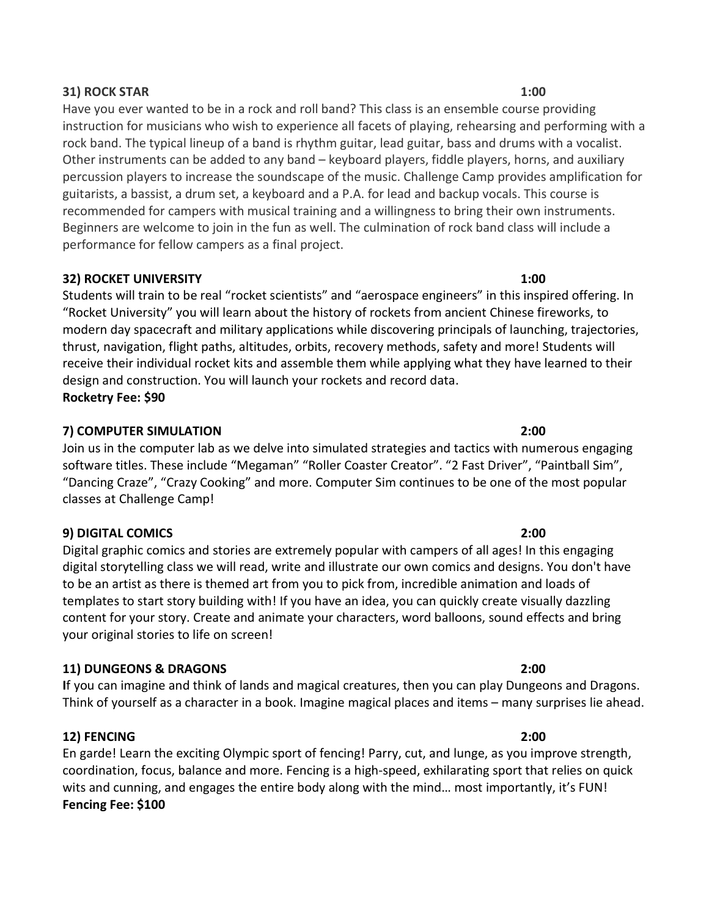### 31) ROCK STAR 1:00

Have you ever wanted to be in a rock and roll band? This class is an ensemble course providing instruction for musicians who wish to experience all facets of playing, rehearsing and performing with a rock band. The typical lineup of a band is rhythm guitar, lead guitar, bass and drums with a vocalist. Other instruments can be added to any band – keyboard players, fiddle players, horns, and auxiliary percussion players to increase the soundscape of the music. Challenge Camp provides amplification for guitarists, a bassist, a drum set, a keyboard and a P.A. for lead and backup vocals. This course is recommended for campers with musical training and a willingness to bring their own instruments. Beginners are welcome to join in the fun as well. The culmination of rock band class will include a performance for fellow campers as a final project.

## 32) ROCKET UNIVERSITY 1:00

Students will train to be real "rocket scientists" and "aerospace engineers" in this inspired offering. In "Rocket University" you will learn about the history of rockets from ancient Chinese fireworks, to modern day spacecraft and military applications while discovering principals of launching, trajectories, thrust, navigation, flight paths, altitudes, orbits, recovery methods, safety and more! Students will receive their individual rocket kits and assemble them while applying what they have learned to their design and construction. You will launch your rockets and record data.

Rocketry Fee: \$90

## 7) COMPUTER SIMULATION 2:00

Join us in the computer lab as we delve into simulated strategies and tactics with numerous engaging software titles. These include "Megaman" "Roller Coaster Creator". "2 Fast Driver", "Paintball Sim", "Dancing Craze", "Crazy Cooking" and more. Computer Sim continues to be one of the most popular classes at Challenge Camp!

### 9) DIGITAL COMICS 2:00

Digital graphic comics and stories are extremely popular with campers of all ages! In this engaging digital storytelling class we will read, write and illustrate our own comics and designs. You don't have to be an artist as there is themed art from you to pick from, incredible animation and loads of templates to start story building with! If you have an idea, you can quickly create visually dazzling content for your story. Create and animate your characters, word balloons, sound effects and bring your original stories to life on screen!

# 11) DUNGEONS & DRAGONS 2:00

If you can imagine and think of lands and magical creatures, then you can play Dungeons and Dragons. Think of yourself as a character in a book. Imagine magical places and items – many surprises lie ahead.

# 12) FENCING 2:00

En garde! Learn the exciting Olympic sport of fencing! Parry, cut, and lunge, as you improve strength, coordination, focus, balance and more. Fencing is a high-speed, exhilarating sport that relies on quick wits and cunning, and engages the entire body along with the mind… most importantly, it's FUN! Fencing Fee: \$100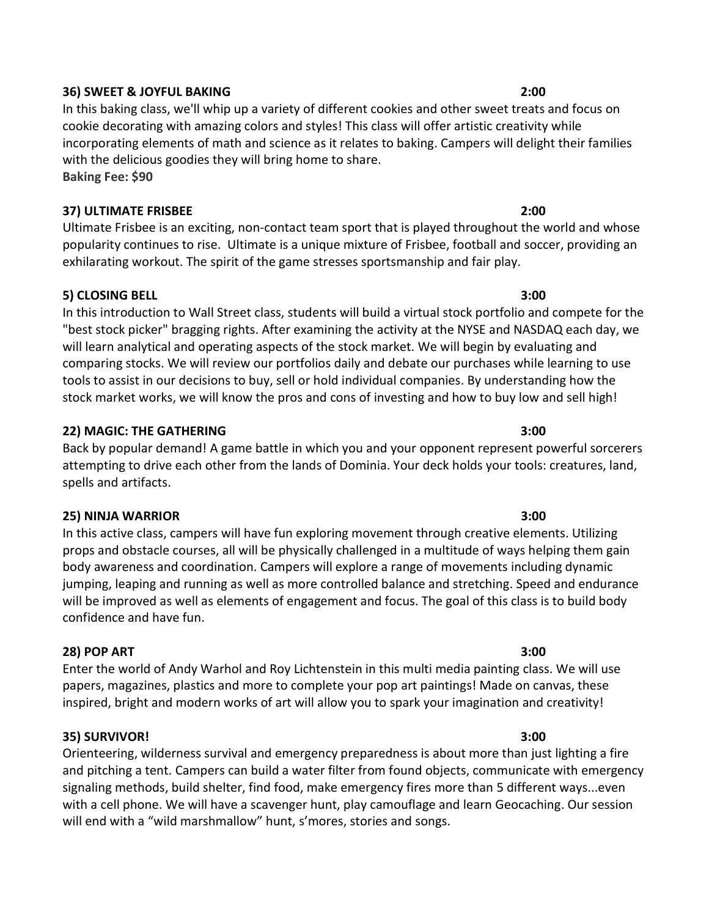### 36) SWEET & JOYFUL BAKING 2:00

In this baking class, we'll whip up a variety of different cookies and other sweet treats and focus on cookie decorating with amazing colors and styles! This class will offer artistic creativity while incorporating elements of math and science as it relates to baking. Campers will delight their families with the delicious goodies they will bring home to share. Baking Fee: \$90

## 37) ULTIMATE FRISBEE 2:00

Ultimate Frisbee is an exciting, non-contact team sport that is played throughout the world and whose popularity continues to rise. Ultimate is a unique mixture of Frisbee, football and soccer, providing an exhilarating workout. The spirit of the game stresses sportsmanship and fair play.

## 5) CLOSING BELL 3:00

In this introduction to Wall Street class, students will build a virtual stock portfolio and compete for the "best stock picker" bragging rights. After examining the activity at the NYSE and NASDAQ each day, we will learn analytical and operating aspects of the stock market. We will begin by evaluating and comparing stocks. We will review our portfolios daily and debate our purchases while learning to use tools to assist in our decisions to buy, sell or hold individual companies. By understanding how the stock market works, we will know the pros and cons of investing and how to buy low and sell high!

## 22) MAGIC: THE GATHERING 3:00

Back by popular demand! A game battle in which you and your opponent represent powerful sorcerers attempting to drive each other from the lands of Dominia. Your deck holds your tools: creatures, land, spells and artifacts.

### 25) NINJA WARRIOR 3:00

In this active class, campers will have fun exploring movement through creative elements. Utilizing props and obstacle courses, all will be physically challenged in a multitude of ways helping them gain body awareness and coordination. Campers will explore a range of movements including dynamic jumping, leaping and running as well as more controlled balance and stretching. Speed and endurance will be improved as well as elements of engagement and focus. The goal of this class is to build body confidence and have fun.

# 28) POP ART 3:00

Enter the world of Andy Warhol and Roy Lichtenstein in this multi media painting class. We will use papers, magazines, plastics and more to complete your pop art paintings! Made on canvas, these inspired, bright and modern works of art will allow you to spark your imagination and creativity!

### 35) SURVIVOR! 3:00

Orienteering, wilderness survival and emergency preparedness is about more than just lighting a fire and pitching a tent. Campers can build a water filter from found objects, communicate with emergency signaling methods, build shelter, find food, make emergency fires more than 5 different ways...even with a cell phone. We will have a scavenger hunt, play camouflage and learn Geocaching. Our session will end with a "wild marshmallow" hunt, s'mores, stories and songs.